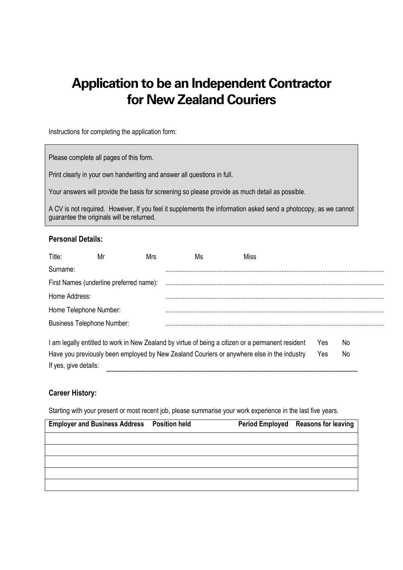# **Application to be an Independent Contractor for New Zealand Couriers**

Instructions for completing the application form:

Please complete all pages of this form.

Print clearly in your own handwriting and answer all questions in full.

Your answers will provide the basis for screening so please provide as much detail as possible.

A CV is not required. However, If you feel it supplements the information asked send a photocopy, as we cannot guarantee the originals will be returned.

#### **Personal Details:**

| Title:                                                                                     | Mr | Mrs | Ms | Miss                                                                                              |     |     |  |
|--------------------------------------------------------------------------------------------|----|-----|----|---------------------------------------------------------------------------------------------------|-----|-----|--|
| Surname:                                                                                   |    |     |    |                                                                                                   |     |     |  |
| First Names (underline preferred name):                                                    |    |     |    |                                                                                                   |     |     |  |
| Home Address:                                                                              |    |     |    |                                                                                                   |     |     |  |
| Home Telephone Number:                                                                     |    |     |    |                                                                                                   |     |     |  |
| <b>Business Telephone Number:</b>                                                          |    |     |    |                                                                                                   |     |     |  |
|                                                                                            |    |     |    | I am legally entitled to work in New Zealand by virtue of being a citizen or a permanent resident | Yes | No. |  |
| Have you previously been employed by New Zealand Couriers or anywhere else in the industry |    |     |    |                                                                                                   | Yes | No. |  |
| If yes, give details:                                                                      |    |     |    |                                                                                                   |     |     |  |

#### **Career History:**

Starting with your present or most recent job, please summarise your work experience in the last five years.

| <b>Employer and Business Address Position held</b> |  | Period Employed Reasons for leaving |
|----------------------------------------------------|--|-------------------------------------|
|                                                    |  |                                     |
|                                                    |  |                                     |
|                                                    |  |                                     |
|                                                    |  |                                     |
|                                                    |  |                                     |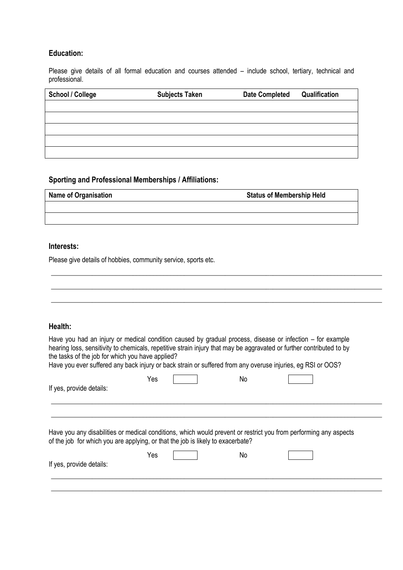# **Education:**

Please give details of all formal education and courses attended – include school, tertiary, technical and professional.

| <b>School / College</b> | <b>Subjects Taken</b> | <b>Date Completed</b> | Qualification |
|-------------------------|-----------------------|-----------------------|---------------|
|                         |                       |                       |               |
|                         |                       |                       |               |
|                         |                       |                       |               |
|                         |                       |                       |               |
|                         |                       |                       |               |

# **Sporting and Professional Memberships / Affiliations:**

| <b>Name of Organisation</b> | <b>Status of Membership Held</b> |
|-----------------------------|----------------------------------|
|                             |                                  |
|                             |                                  |

#### **Interests:**

Please give details of hobbies, community service, sports etc.

| Health:                                                                         |     |    |                                                                                                                                                                                                                                                                                                                                                  |
|---------------------------------------------------------------------------------|-----|----|--------------------------------------------------------------------------------------------------------------------------------------------------------------------------------------------------------------------------------------------------------------------------------------------------------------------------------------------------|
| the tasks of the job for which you have applied?                                |     |    | Have you had an injury or medical condition caused by gradual process, disease or infection – for example<br>hearing loss, sensitivity to chemicals, repetitive strain injury that may be aggravated or further contributed to by<br>Have you ever suffered any back injury or back strain or suffered from any overuse injuries, eg RSI or OOS? |
| If yes, provide details:                                                        | Yes | No |                                                                                                                                                                                                                                                                                                                                                  |
| of the job for which you are applying, or that the job is likely to exacerbate? |     |    | Have you any disabilities or medical conditions, which would prevent or restrict you from performing any aspects                                                                                                                                                                                                                                 |
|                                                                                 | Yes | No |                                                                                                                                                                                                                                                                                                                                                  |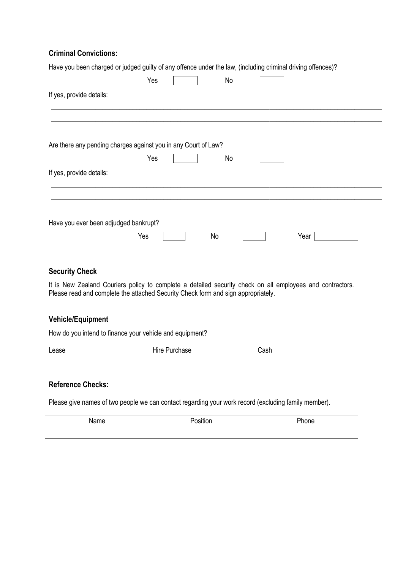# **Criminal Convictions:**

|                                       | Have you been charged or judged guilty of any offence under the law, (including criminal driving offences)? |    |      |  |
|---------------------------------------|-------------------------------------------------------------------------------------------------------------|----|------|--|
|                                       | Yes                                                                                                         | No |      |  |
| If yes, provide details:              |                                                                                                             |    |      |  |
|                                       |                                                                                                             |    |      |  |
|                                       | Are there any pending charges against you in any Court of Law?                                              |    |      |  |
|                                       | Yes                                                                                                         | No |      |  |
| If yes, provide details:              |                                                                                                             |    |      |  |
| Have you ever been adjudged bankrupt? |                                                                                                             |    |      |  |
|                                       | Yes                                                                                                         | No | Year |  |

#### **Security Check**

It is New Zealand Couriers policy to complete a detailed security check on all employees and contractors. Please read and complete the attached Security Check form and sign appropriately.

#### **Vehicle/Equipment**

How do you intend to finance your vehicle and equipment?

Lease Cash

#### **Reference Checks:**

Please give names of two people we can contact regarding your work record (excluding family member).

| Name | Position | Phone |
|------|----------|-------|
|      |          |       |
|      |          |       |